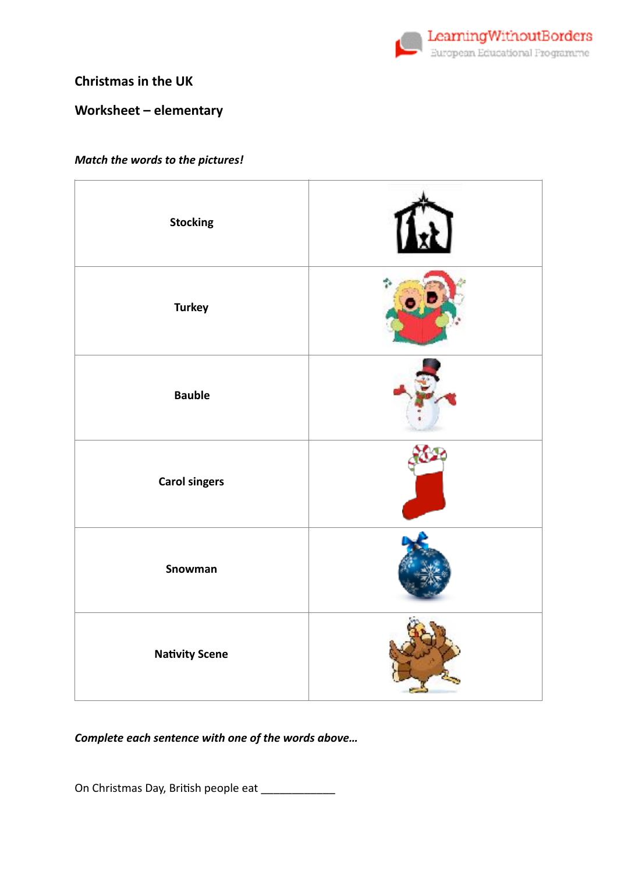

### **Christmas in the UK**

## Worksheet - elementary

#### Match the words to the pictures!

| <b>Stocking</b>       |  |
|-----------------------|--|
| <b>Turkey</b>         |  |
| <b>Bauble</b>         |  |
| <b>Carol singers</b>  |  |
| Snowman               |  |
| <b>Nativity Scene</b> |  |

Complete each sentence with one of the words above...

On Christmas Day, British people eat \_\_\_\_\_\_\_\_\_\_\_\_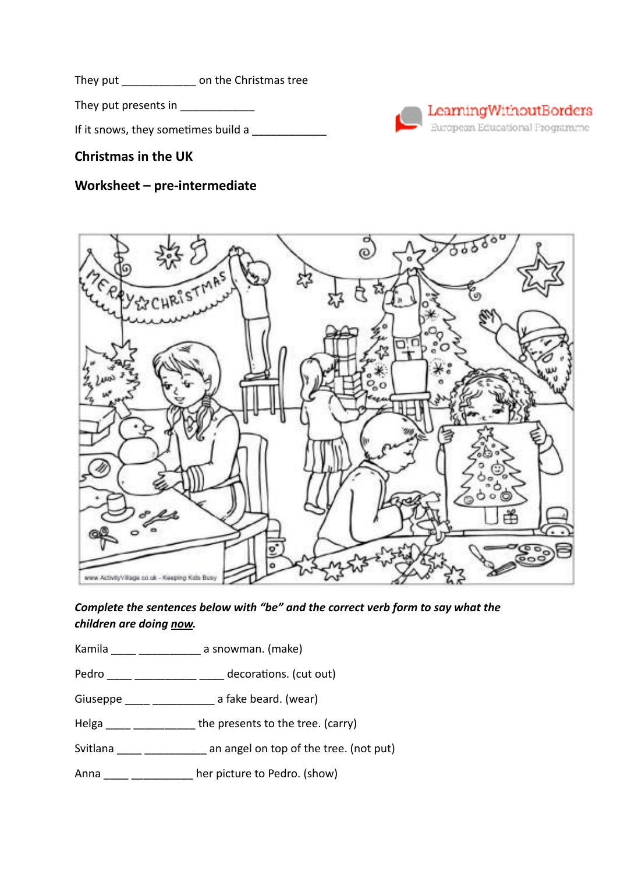They put \_\_\_\_\_\_\_\_\_\_\_\_ on the Christmas tree

They put presents in \_\_\_\_\_\_\_\_\_\_\_\_

If it snows, they sometimes build a  $\Box$ 

# **Christmas in the UK**

# **Worksheet – pre-intermediate**





*Complete the sentences below with "be" and the correct verb form to say what the children are doing now.* 

Kamila \_\_\_\_ \_\_\_\_\_\_\_\_\_\_ a snowman. (make)

Pedro \_\_\_\_ \_\_\_\_\_\_\_\_\_\_ \_\_\_\_ decorations. (cut out)

Giuseppe \_\_\_\_ \_\_\_\_\_\_\_\_\_\_\_\_ a fake beard. (wear)

Helga \_\_\_\_ \_\_\_\_\_\_\_\_\_\_\_ the presents to the tree. (carry)

Svitlana \_\_\_\_ \_\_\_\_\_\_\_\_\_\_\_ an angel on top of the tree. (not put)

Anna \_\_\_\_ \_\_\_\_\_\_\_\_\_\_\_ her picture to Pedro. (show)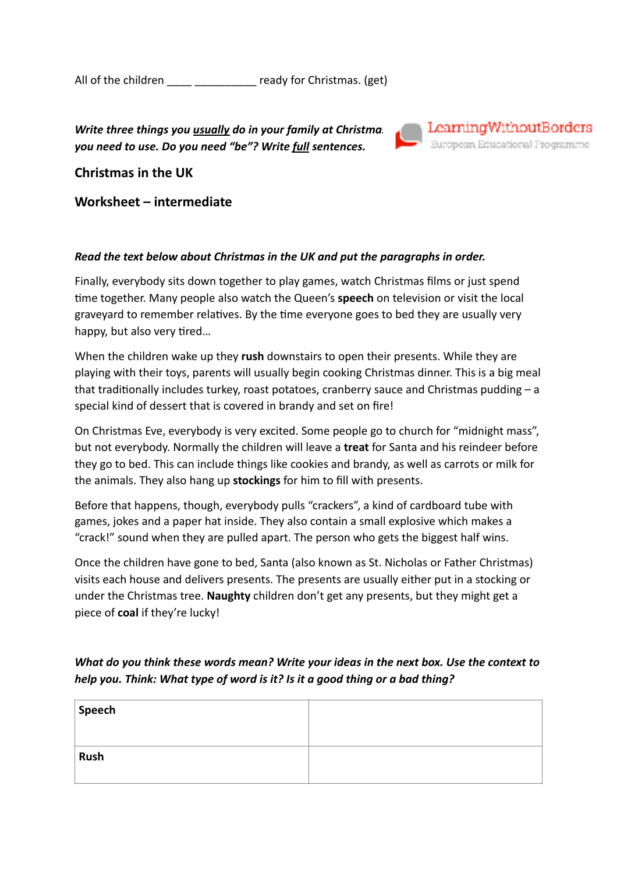All of the children exactle ready for Christmas. (get)

*Write three things you <u>usually</u> do in your family at Christmas Examing Without Borders<br><i>Vou need to use. Do you need "he"? Write full sentences you need to use. Do you need "be"? Write full sentences.* 



**Christmas in the UK** 

**Worksheet – intermediate** 

#### *Read the text below about Christmas in the UK and put the paragraphs in order.*

Finally, everybody sits down together to play games, watch Christmas films or just spend time together. Many people also watch the Queen's **speech** on television or visit the local graveyard to remember relatives. By the time everyone goes to bed they are usually very happy, but also very tired...

When the children wake up they **rush** downstairs to open their presents. While they are playing with their toys, parents will usually begin cooking Christmas dinner. This is a big meal that traditionally includes turkey, roast potatoes, cranberry sauce and Christmas pudding  $- a$ special kind of dessert that is covered in brandy and set on fire!

On Christmas Eve, everybody is very excited. Some people go to church for "midnight mass", but not everybody. Normally the children will leave a **treat** for Santa and his reindeer before they go to bed. This can include things like cookies and brandy, as well as carrots or milk for the animals. They also hang up **stockings** for him to fill with presents.

Before that happens, though, everybody pulls "crackers", a kind of cardboard tube with games, jokes and a paper hat inside. They also contain a small explosive which makes a "crack!" sound when they are pulled apart. The person who gets the biggest half wins.

Once the children have gone to bed, Santa (also known as St. Nicholas or Father Christmas) visits each house and delivers presents. The presents are usually either put in a stocking or under the Christmas tree. **Naughty** children don't get any presents, but they might get a piece of **coal** if they're lucky!

*What do you think these words mean? Write your ideas in the next box. Use the context to help you. Think: What type of word is it? Is it a good thing or a bad thing?* 

| Speech |  |
|--------|--|
| Rush   |  |